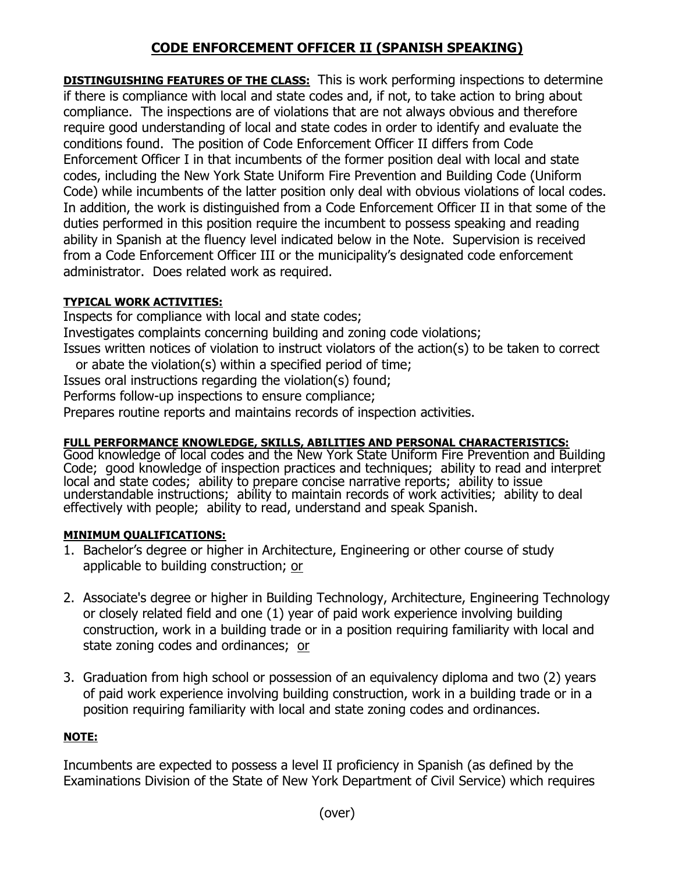# **CODE ENFORCEMENT OFFICER II (SPANISH SPEAKING)**

**DISTINGUISHING FEATURES OF THE CLASS:** This is work performing inspections to determine if there is compliance with local and state codes and, if not, to take action to bring about compliance. The inspections are of violations that are not always obvious and therefore require good understanding of local and state codes in order to identify and evaluate the conditions found. The position of Code Enforcement Officer II differs from Code Enforcement Officer I in that incumbents of the former position deal with local and state codes, including the New York State Uniform Fire Prevention and Building Code (Uniform Code) while incumbents of the latter position only deal with obvious violations of local codes. In addition, the work is distinguished from a Code Enforcement Officer II in that some of the duties performed in this position require the incumbent to possess speaking and reading ability in Spanish at the fluency level indicated below in the Note. Supervision is received from a Code Enforcement Officer III or the municipality's designated code enforcement administrator. Does related work as required.

### **TYPICAL WORK ACTIVITIES:**

Inspects for compliance with local and state codes;

Investigates complaints concerning building and zoning code violations;

Issues written notices of violation to instruct violators of the action(s) to be taken to correct or abate the violation(s) within a specified period of time;

Issues oral instructions regarding the violation(s) found;

Performs follow-up inspections to ensure compliance;

Prepares routine reports and maintains records of inspection activities.

## **FULL PERFORMANCE KNOWLEDGE, SKILLS, ABILITIES AND PERSONAL CHARACTERISTICS:**

Good knowledge of local codes and the New York State Uniform Fire Prevention and Building Code; good knowledge of inspection practices and techniques; ability to read and interpret local and state codes; ability to prepare concise narrative reports; ability to issue understandable instructions; ability to maintain records of work activities; ability to deal effectively with people; ability to read, understand and speak Spanish.

### **MINIMUM QUALIFICATIONS:**

- 1. Bachelor's degree or higher in Architecture, Engineering or other course of study applicable to building construction; or
- 2. Associate's degree or higher in Building Technology, Architecture, Engineering Technology or closely related field and one (1) year of paid work experience involving building construction, work in a building trade or in a position requiring familiarity with local and state zoning codes and ordinances; or
- 3. Graduation from high school or possession of an equivalency diploma and two (2) years of paid work experience involving building construction, work in a building trade or in a position requiring familiarity with local and state zoning codes and ordinances.

## **NOTE:**

Incumbents are expected to possess a level II proficiency in Spanish (as defined by the Examinations Division of the State of New York Department of Civil Service) which requires